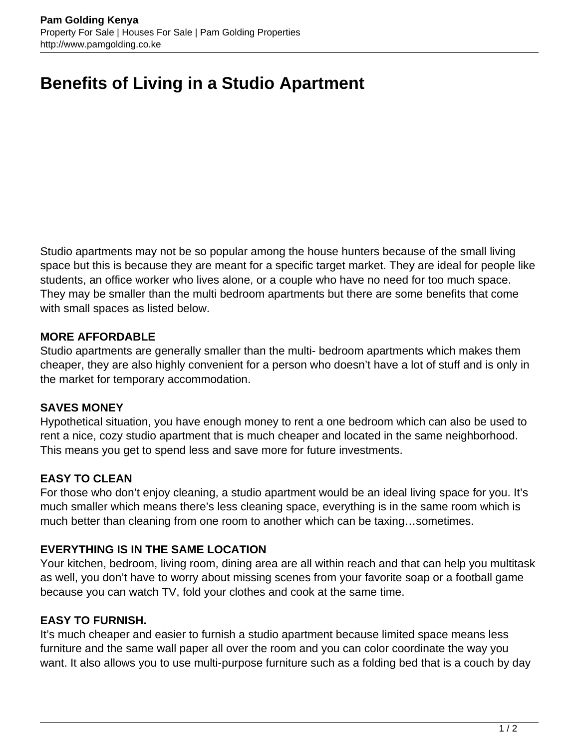# **Benefits of Living in a Studio Apartment**

Studio apartments may not be so popular among the house hunters because of the small living space but this is because they are meant for a specific target market. They are ideal for people like students, an office worker who lives alone, or a couple who have no need for too much space. They may be smaller than the multi bedroom apartments but there are some benefits that come with small spaces as listed below.

#### **MORE AFFORDABLE**

Studio apartments are generally smaller than the multi- bedroom apartments which makes them cheaper, they are also highly convenient for a person who doesn't have a lot of stuff and is only in the market for temporary accommodation.

#### **SAVES MONEY**

Hypothetical situation, you have enough money to rent a one bedroom which can also be used to rent a nice, cozy studio apartment that is much cheaper and located in the same neighborhood. This means you get to spend less and save more for future investments.

## **EASY TO CLEAN**

For those who don't enjoy cleaning, a studio apartment would be an ideal living space for you. It's much smaller which means there's less cleaning space, everything is in the same room which is much better than cleaning from one room to another which can be taxing…sometimes.

## **EVERYTHING IS IN THE SAME LOCATION**

Your kitchen, bedroom, living room, dining area are all within reach and that can help you multitask as well, you don't have to worry about missing scenes from your favorite soap or a football game because you can watch TV, fold your clothes and cook at the same time.

## **EASY TO FURNISH.**

It's much cheaper and easier to furnish a studio apartment because limited space means less furniture and the same wall paper all over the room and you can color coordinate the way you want. It also allows you to use multi-purpose furniture such as a folding bed that is a couch by day